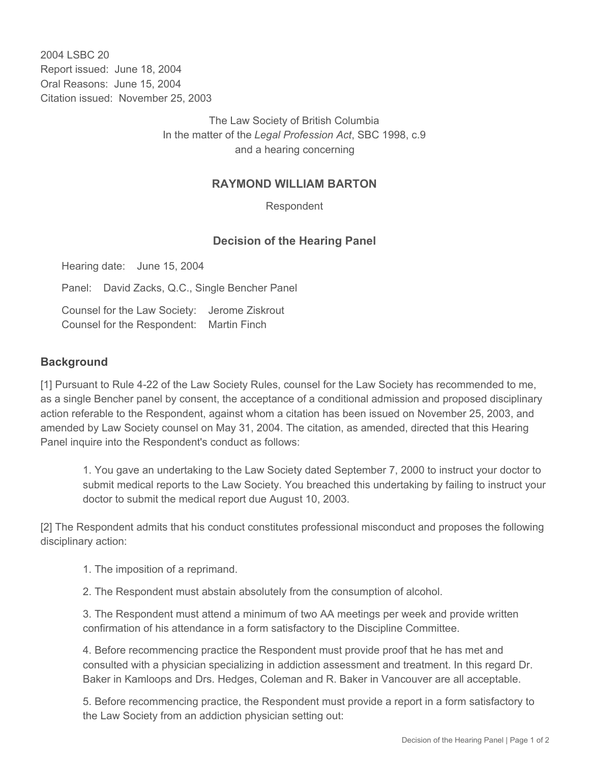2004 LSBC 20 Report issued: June 18, 2004 Oral Reasons: June 15, 2004 Citation issued: November 25, 2003

> The Law Society of British Columbia In the matter of the *Legal Profession Act*, SBC 1998, c.9 and a hearing concerning

## **RAYMOND WILLIAM BARTON**

Respondent

## **Decision of the Hearing Panel**

Hearing date: June 15, 2004

Panel: David Zacks, Q.C., Single Bencher Panel

Counsel for the Law Society: Jerome Ziskrout Counsel for the Respondent: Martin Finch

## **Background**

[1] Pursuant to Rule 4-22 of the Law Society Rules, counsel for the Law Society has recommended to me, as a single Bencher panel by consent, the acceptance of a conditional admission and proposed disciplinary action referable to the Respondent, against whom a citation has been issued on November 25, 2003, and amended by Law Society counsel on May 31, 2004. The citation, as amended, directed that this Hearing Panel inquire into the Respondent's conduct as follows:

1. You gave an undertaking to the Law Society dated September 7, 2000 to instruct your doctor to submit medical reports to the Law Society. You breached this undertaking by failing to instruct your doctor to submit the medical report due August 10, 2003.

[2] The Respondent admits that his conduct constitutes professional misconduct and proposes the following disciplinary action:

1. The imposition of a reprimand.

2. The Respondent must abstain absolutely from the consumption of alcohol.

3. The Respondent must attend a minimum of two AA meetings per week and provide written confirmation of his attendance in a form satisfactory to the Discipline Committee.

4. Before recommencing practice the Respondent must provide proof that he has met and consulted with a physician specializing in addiction assessment and treatment. In this regard Dr. Baker in Kamloops and Drs. Hedges, Coleman and R. Baker in Vancouver are all acceptable.

5. Before recommencing practice, the Respondent must provide a report in a form satisfactory to the Law Society from an addiction physician setting out: